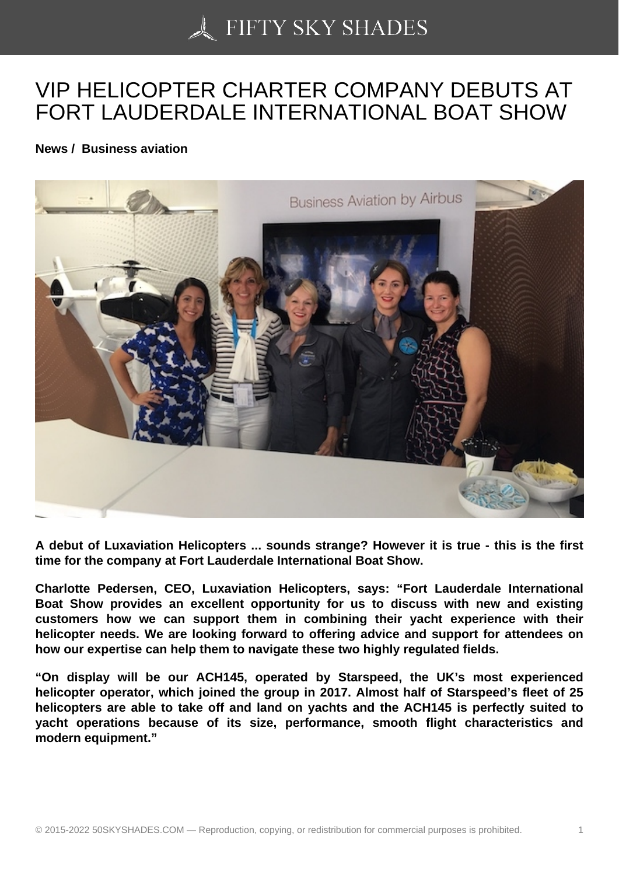## [VIP HELICOPTER CH](https://50skyshades.com)ARTER COMPANY DEBUTS AT FORT LAUDERDALE INTERNATIONAL BOAT SHOW

News / Business aviation

A debut of Luxaviation Helicopters ... sounds strange? However it is true - this is the first time for the company at Fort Lauderdale International Boat Show.

Charlotte Pedersen, CEO, Luxaviation Helicopters, says: "Fort Lauderdale International Boat Show provides an excellent opportunity for us to discuss with new and existing customers how we can support them in combining their yacht experience with their helicopter needs. We are looking forward to offering advice and support for attendees on how our expertise can help them to navigate these two highly regulated fields.

"On display will be our ACH145, operated by Starspeed, the UK's most experienced helicopter operator, which joined the group in 2017. Almost half of Starspeed's fleet of 25 helicopters are able to take off and land on yachts and the ACH145 is perfectly suited to yacht operations because of its size, performance, smooth flight characteristics and modern equipment."